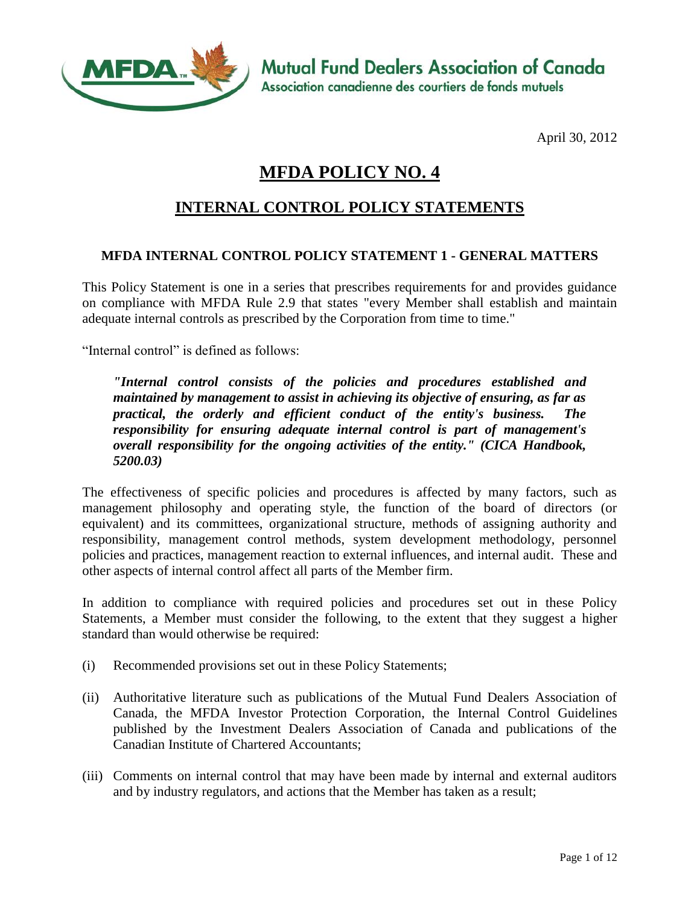

**Mutual Fund Dealers Association of Canada** Association canadienne des courtiers de fonds mutuels

April 30, 2012

# **MFDA POLICY NO. 4**

## **INTERNAL CONTROL POLICY STATEMENTS**

#### **MFDA INTERNAL CONTROL POLICY STATEMENT 1 - GENERAL MATTERS**

This Policy Statement is one in a series that prescribes requirements for and provides guidance on compliance with MFDA Rule 2.9 that states "every Member shall establish and maintain adequate internal controls as prescribed by the Corporation from time to time."

"Internal control" is defined as follows:

*"Internal control consists of the policies and procedures established and maintained by management to assist in achieving its objective of ensuring, as far as practical, the orderly and efficient conduct of the entity's business. The responsibility for ensuring adequate internal control is part of management's overall responsibility for the ongoing activities of the entity." (CICA Handbook, 5200.03)*

The effectiveness of specific policies and procedures is affected by many factors, such as management philosophy and operating style, the function of the board of directors (or equivalent) and its committees, organizational structure, methods of assigning authority and responsibility, management control methods, system development methodology, personnel policies and practices, management reaction to external influences, and internal audit. These and other aspects of internal control affect all parts of the Member firm.

In addition to compliance with required policies and procedures set out in these Policy Statements, a Member must consider the following, to the extent that they suggest a higher standard than would otherwise be required:

- (i) Recommended provisions set out in these Policy Statements;
- (ii) Authoritative literature such as publications of the Mutual Fund Dealers Association of Canada, the MFDA Investor Protection Corporation, the Internal Control Guidelines published by the Investment Dealers Association of Canada and publications of the Canadian Institute of Chartered Accountants;
- (iii) Comments on internal control that may have been made by internal and external auditors and by industry regulators, and actions that the Member has taken as a result;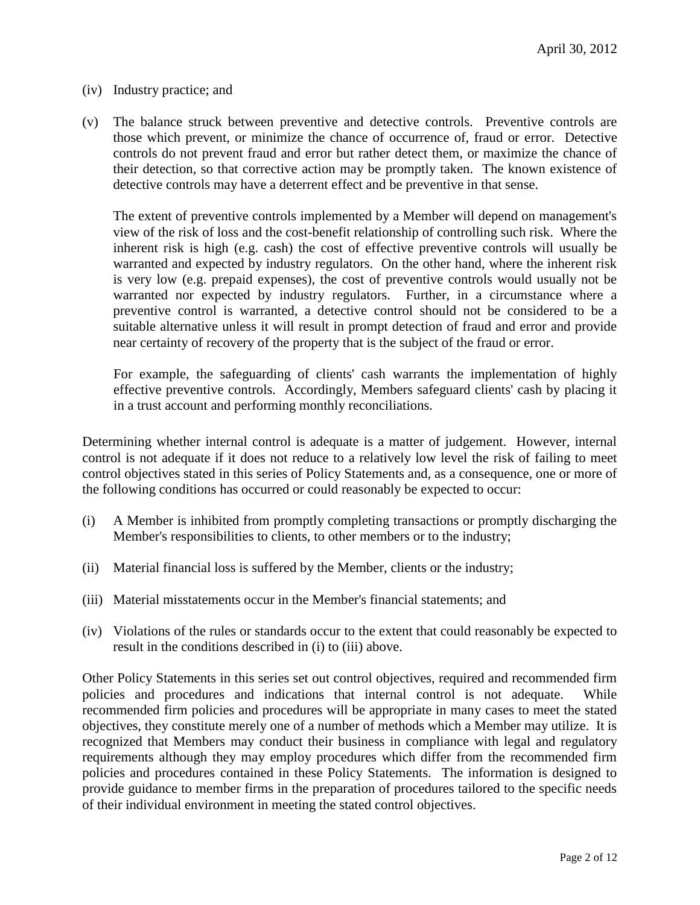- (iv) Industry practice; and
- (v) The balance struck between preventive and detective controls. Preventive controls are those which prevent, or minimize the chance of occurrence of, fraud or error. Detective controls do not prevent fraud and error but rather detect them, or maximize the chance of their detection, so that corrective action may be promptly taken. The known existence of detective controls may have a deterrent effect and be preventive in that sense.

The extent of preventive controls implemented by a Member will depend on management's view of the risk of loss and the cost-benefit relationship of controlling such risk. Where the inherent risk is high (e.g. cash) the cost of effective preventive controls will usually be warranted and expected by industry regulators. On the other hand, where the inherent risk is very low (e.g. prepaid expenses), the cost of preventive controls would usually not be warranted nor expected by industry regulators. Further, in a circumstance where a preventive control is warranted, a detective control should not be considered to be a suitable alternative unless it will result in prompt detection of fraud and error and provide near certainty of recovery of the property that is the subject of the fraud or error.

For example, the safeguarding of clients' cash warrants the implementation of highly effective preventive controls. Accordingly, Members safeguard clients' cash by placing it in a trust account and performing monthly reconciliations.

Determining whether internal control is adequate is a matter of judgement. However, internal control is not adequate if it does not reduce to a relatively low level the risk of failing to meet control objectives stated in this series of Policy Statements and, as a consequence, one or more of the following conditions has occurred or could reasonably be expected to occur:

- (i) A Member is inhibited from promptly completing transactions or promptly discharging the Member's responsibilities to clients, to other members or to the industry;
- (ii) Material financial loss is suffered by the Member, clients or the industry;
- (iii) Material misstatements occur in the Member's financial statements; and
- (iv) Violations of the rules or standards occur to the extent that could reasonably be expected to result in the conditions described in (i) to (iii) above.

Other Policy Statements in this series set out control objectives, required and recommended firm policies and procedures and indications that internal control is not adequate. While recommended firm policies and procedures will be appropriate in many cases to meet the stated objectives, they constitute merely one of a number of methods which a Member may utilize. It is recognized that Members may conduct their business in compliance with legal and regulatory requirements although they may employ procedures which differ from the recommended firm policies and procedures contained in these Policy Statements. The information is designed to provide guidance to member firms in the preparation of procedures tailored to the specific needs of their individual environment in meeting the stated control objectives.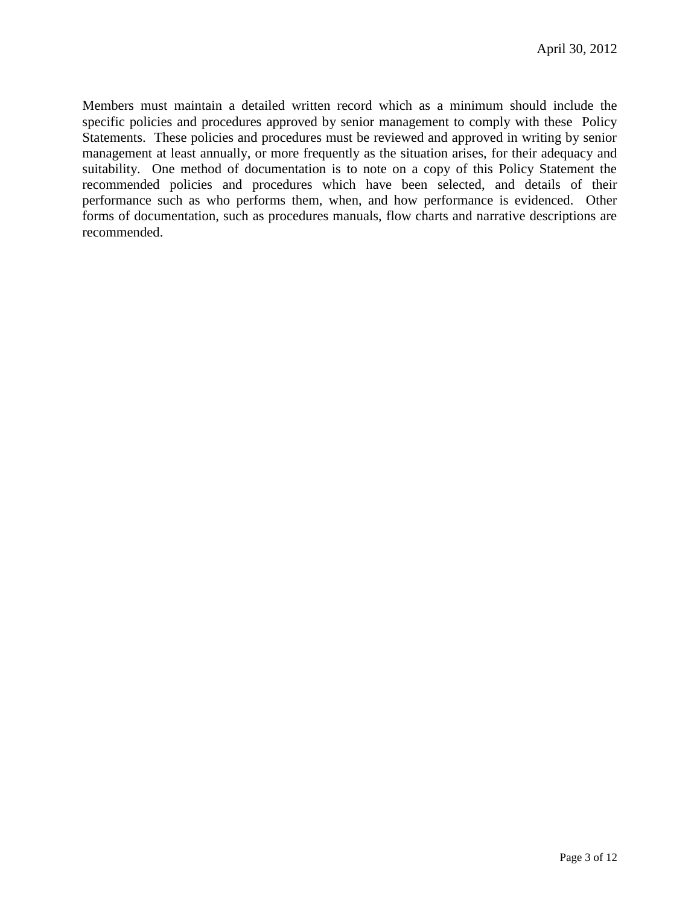Members must maintain a detailed written record which as a minimum should include the specific policies and procedures approved by senior management to comply with these Policy Statements. These policies and procedures must be reviewed and approved in writing by senior management at least annually, or more frequently as the situation arises, for their adequacy and suitability. One method of documentation is to note on a copy of this Policy Statement the recommended policies and procedures which have been selected, and details of their performance such as who performs them, when, and how performance is evidenced. Other forms of documentation, such as procedures manuals, flow charts and narrative descriptions are recommended.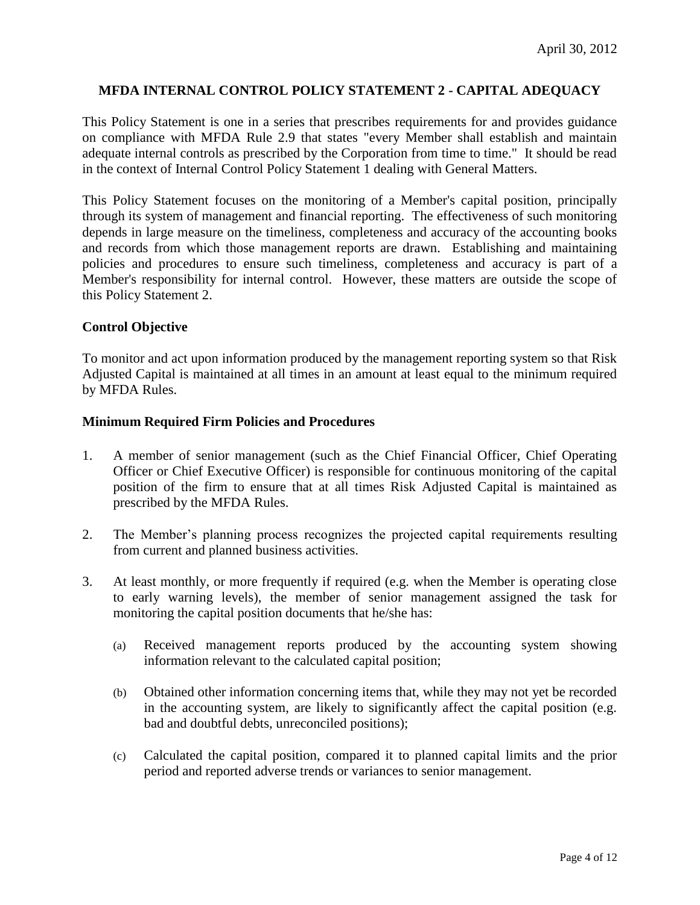#### **MFDA INTERNAL CONTROL POLICY STATEMENT 2 - CAPITAL ADEQUACY**

This Policy Statement is one in a series that prescribes requirements for and provides guidance on compliance with MFDA Rule 2.9 that states "every Member shall establish and maintain adequate internal controls as prescribed by the Corporation from time to time." It should be read in the context of Internal Control Policy Statement 1 dealing with General Matters.

This Policy Statement focuses on the monitoring of a Member's capital position, principally through its system of management and financial reporting. The effectiveness of such monitoring depends in large measure on the timeliness, completeness and accuracy of the accounting books and records from which those management reports are drawn. Establishing and maintaining policies and procedures to ensure such timeliness, completeness and accuracy is part of a Member's responsibility for internal control. However, these matters are outside the scope of this Policy Statement 2.

#### **Control Objective**

To monitor and act upon information produced by the management reporting system so that Risk Adjusted Capital is maintained at all times in an amount at least equal to the minimum required by MFDA Rules.

#### **Minimum Required Firm Policies and Procedures**

- 1. A member of senior management (such as the Chief Financial Officer, Chief Operating Officer or Chief Executive Officer) is responsible for continuous monitoring of the capital position of the firm to ensure that at all times Risk Adjusted Capital is maintained as prescribed by the MFDA Rules.
- 2. The Member's planning process recognizes the projected capital requirements resulting from current and planned business activities.
- 3. At least monthly, or more frequently if required (e.g. when the Member is operating close to early warning levels), the member of senior management assigned the task for monitoring the capital position documents that he/she has:
	- (a) Received management reports produced by the accounting system showing information relevant to the calculated capital position;
	- (b) Obtained other information concerning items that, while they may not yet be recorded in the accounting system, are likely to significantly affect the capital position (e.g. bad and doubtful debts, unreconciled positions);
	- (c) Calculated the capital position, compared it to planned capital limits and the prior period and reported adverse trends or variances to senior management.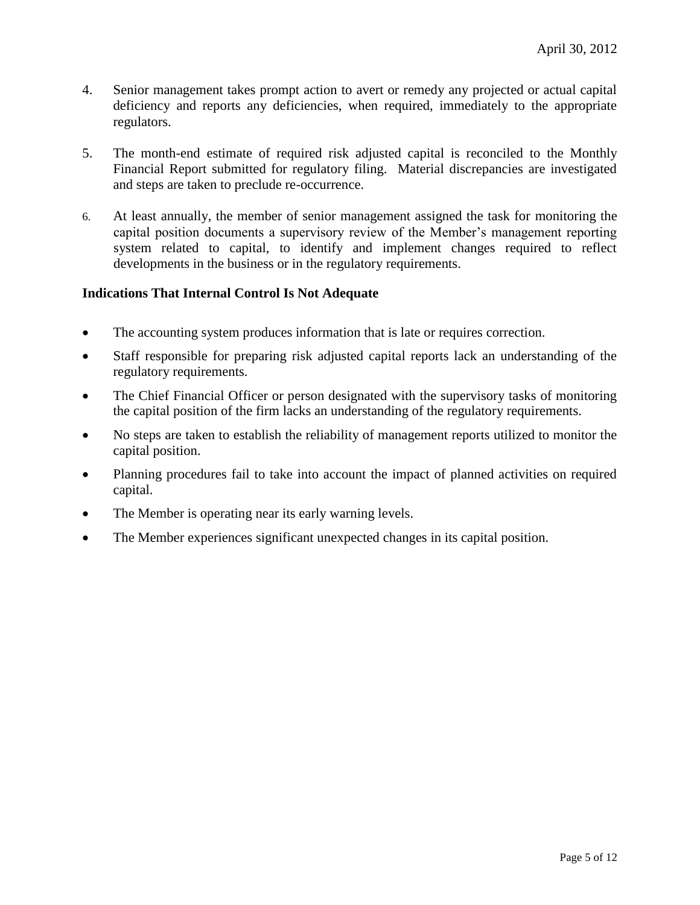- 4. Senior management takes prompt action to avert or remedy any projected or actual capital deficiency and reports any deficiencies, when required, immediately to the appropriate regulators.
- 5. The month-end estimate of required risk adjusted capital is reconciled to the Monthly Financial Report submitted for regulatory filing. Material discrepancies are investigated and steps are taken to preclude re-occurrence.
- 6. At least annually, the member of senior management assigned the task for monitoring the capital position documents a supervisory review of the Member's management reporting system related to capital, to identify and implement changes required to reflect developments in the business or in the regulatory requirements.

#### **Indications That Internal Control Is Not Adequate**

- The accounting system produces information that is late or requires correction.
- Staff responsible for preparing risk adjusted capital reports lack an understanding of the regulatory requirements.
- The Chief Financial Officer or person designated with the supervisory tasks of monitoring the capital position of the firm lacks an understanding of the regulatory requirements.
- No steps are taken to establish the reliability of management reports utilized to monitor the capital position.
- Planning procedures fail to take into account the impact of planned activities on required capital.
- The Member is operating near its early warning levels.
- The Member experiences significant unexpected changes in its capital position.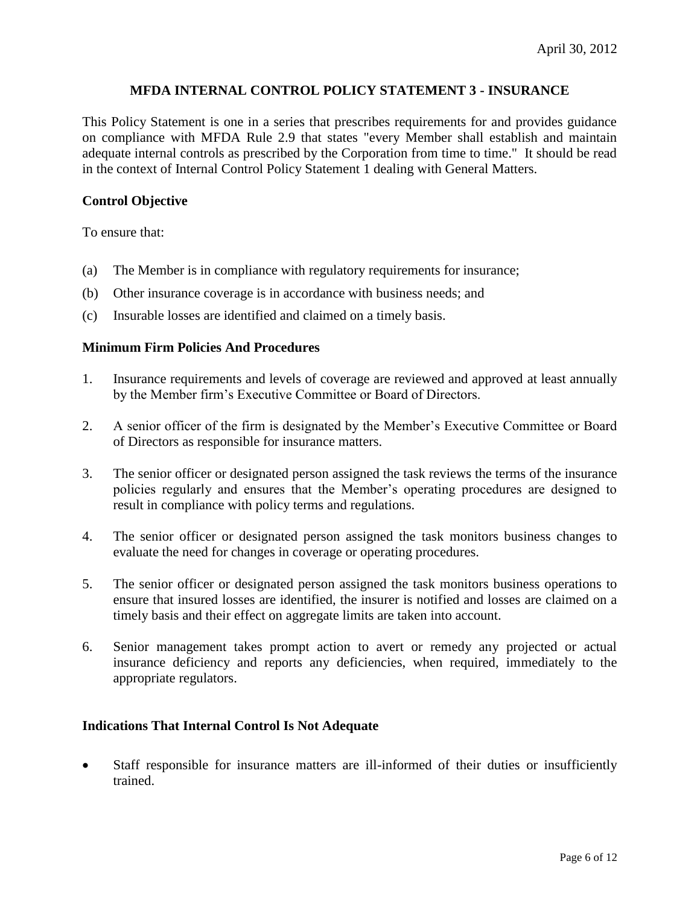#### **MFDA INTERNAL CONTROL POLICY STATEMENT 3 - INSURANCE**

This Policy Statement is one in a series that prescribes requirements for and provides guidance on compliance with MFDA Rule 2.9 that states "every Member shall establish and maintain adequate internal controls as prescribed by the Corporation from time to time." It should be read in the context of Internal Control Policy Statement 1 dealing with General Matters.

#### **Control Objective**

To ensure that:

- (a) The Member is in compliance with regulatory requirements for insurance;
- (b) Other insurance coverage is in accordance with business needs; and
- (c) Insurable losses are identified and claimed on a timely basis.

#### **Minimum Firm Policies And Procedures**

- 1. Insurance requirements and levels of coverage are reviewed and approved at least annually by the Member firm's Executive Committee or Board of Directors.
- 2. A senior officer of the firm is designated by the Member's Executive Committee or Board of Directors as responsible for insurance matters.
- 3. The senior officer or designated person assigned the task reviews the terms of the insurance policies regularly and ensures that the Member's operating procedures are designed to result in compliance with policy terms and regulations.
- 4. The senior officer or designated person assigned the task monitors business changes to evaluate the need for changes in coverage or operating procedures.
- 5. The senior officer or designated person assigned the task monitors business operations to ensure that insured losses are identified, the insurer is notified and losses are claimed on a timely basis and their effect on aggregate limits are taken into account.
- 6. Senior management takes prompt action to avert or remedy any projected or actual insurance deficiency and reports any deficiencies, when required, immediately to the appropriate regulators.

#### **Indications That Internal Control Is Not Adequate**

 Staff responsible for insurance matters are ill-informed of their duties or insufficiently trained.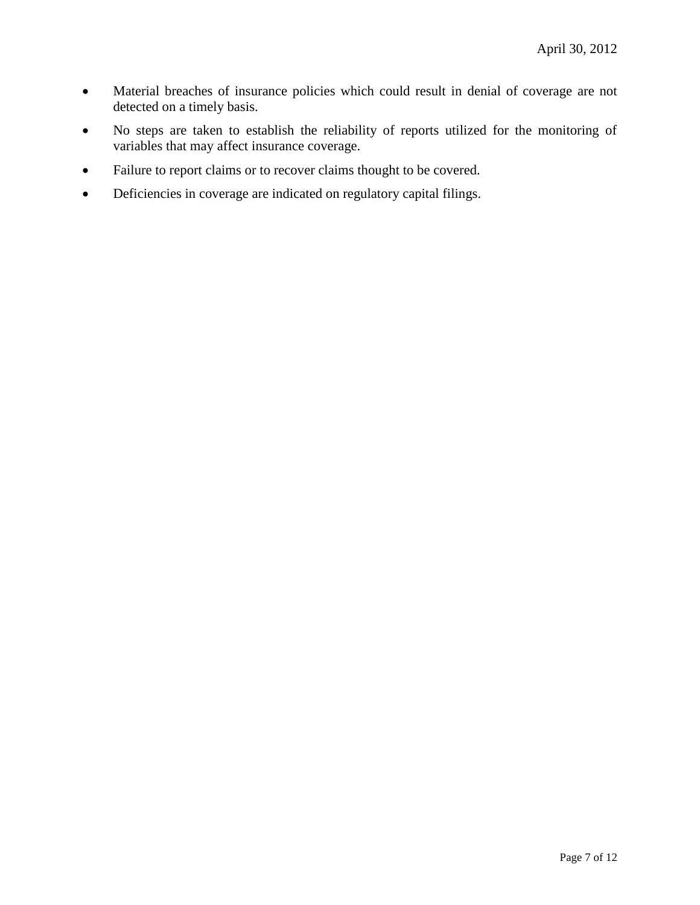- Material breaches of insurance policies which could result in denial of coverage are not detected on a timely basis.
- No steps are taken to establish the reliability of reports utilized for the monitoring of variables that may affect insurance coverage.
- Failure to report claims or to recover claims thought to be covered.
- Deficiencies in coverage are indicated on regulatory capital filings.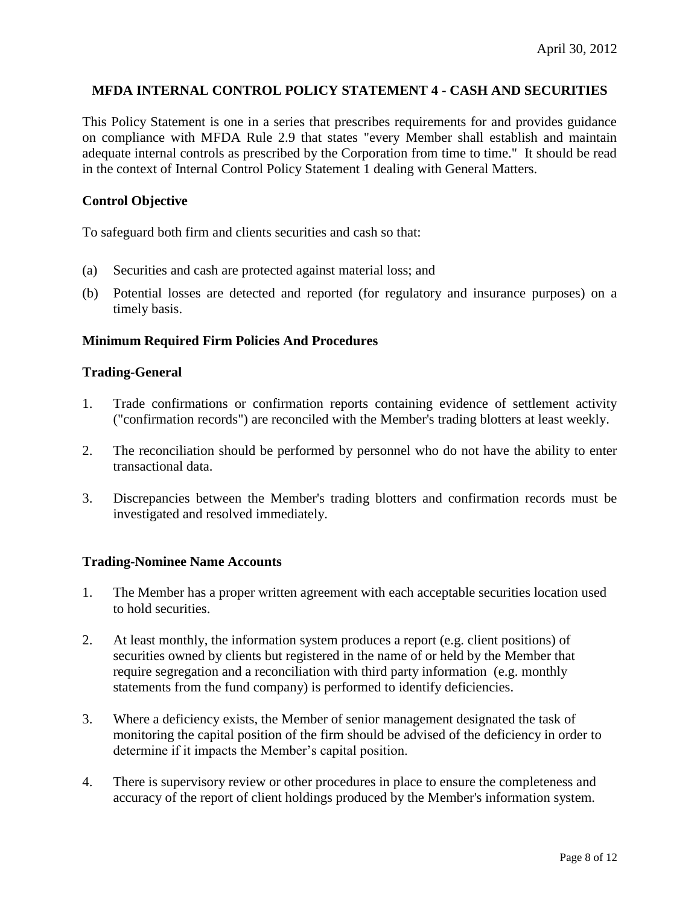#### **MFDA INTERNAL CONTROL POLICY STATEMENT 4 - CASH AND SECURITIES**

This Policy Statement is one in a series that prescribes requirements for and provides guidance on compliance with MFDA Rule 2.9 that states "every Member shall establish and maintain adequate internal controls as prescribed by the Corporation from time to time." It should be read in the context of Internal Control Policy Statement 1 dealing with General Matters.

#### **Control Objective**

To safeguard both firm and clients securities and cash so that:

- (a) Securities and cash are protected against material loss; and
- (b) Potential losses are detected and reported (for regulatory and insurance purposes) on a timely basis.

#### **Minimum Required Firm Policies And Procedures**

#### **Trading-General**

- 1. Trade confirmations or confirmation reports containing evidence of settlement activity ("confirmation records") are reconciled with the Member's trading blotters at least weekly.
- 2. The reconciliation should be performed by personnel who do not have the ability to enter transactional data.
- 3. Discrepancies between the Member's trading blotters and confirmation records must be investigated and resolved immediately.

#### **Trading-Nominee Name Accounts**

- 1. The Member has a proper written agreement with each acceptable securities location used to hold securities.
- 2. At least monthly, the information system produces a report (e.g. client positions) of securities owned by clients but registered in the name of or held by the Member that require segregation and a reconciliation with third party information (e.g. monthly statements from the fund company) is performed to identify deficiencies.
- 3. Where a deficiency exists, the Member of senior management designated the task of monitoring the capital position of the firm should be advised of the deficiency in order to determine if it impacts the Member's capital position.
- 4. There is supervisory review or other procedures in place to ensure the completeness and accuracy of the report of client holdings produced by the Member's information system.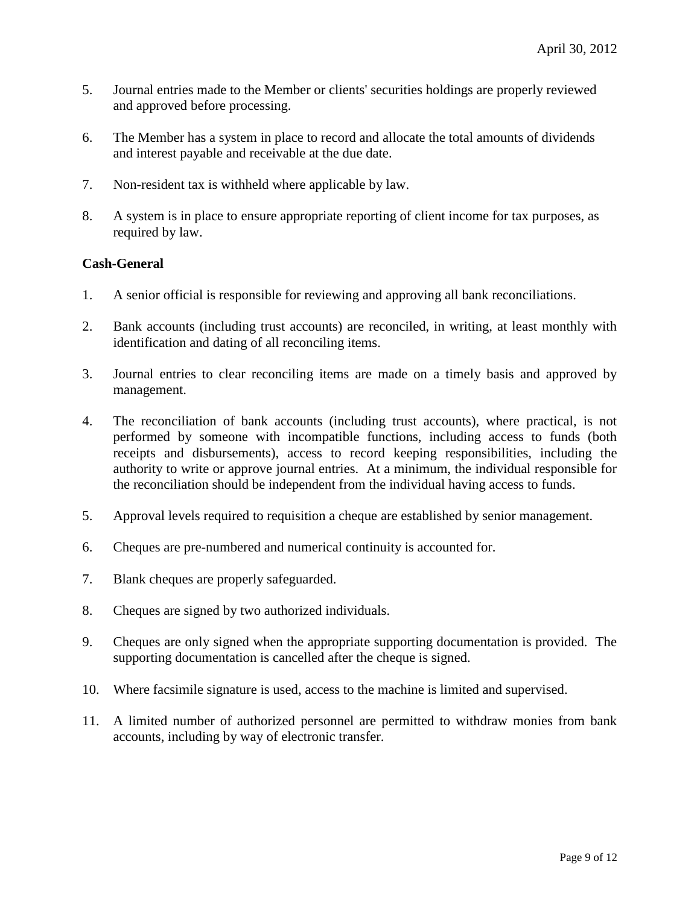- 5. Journal entries made to the Member or clients' securities holdings are properly reviewed and approved before processing.
- 6. The Member has a system in place to record and allocate the total amounts of dividends and interest payable and receivable at the due date.
- 7. Non-resident tax is withheld where applicable by law.
- 8. A system is in place to ensure appropriate reporting of client income for tax purposes, as required by law.

#### **Cash-General**

- 1. A senior official is responsible for reviewing and approving all bank reconciliations.
- 2. Bank accounts (including trust accounts) are reconciled, in writing, at least monthly with identification and dating of all reconciling items.
- 3. Journal entries to clear reconciling items are made on a timely basis and approved by management.
- 4. The reconciliation of bank accounts (including trust accounts), where practical, is not performed by someone with incompatible functions, including access to funds (both receipts and disbursements), access to record keeping responsibilities, including the authority to write or approve journal entries. At a minimum, the individual responsible for the reconciliation should be independent from the individual having access to funds.
- 5. Approval levels required to requisition a cheque are established by senior management.
- 6. Cheques are pre-numbered and numerical continuity is accounted for.
- 7. Blank cheques are properly safeguarded.
- 8. Cheques are signed by two authorized individuals.
- 9. Cheques are only signed when the appropriate supporting documentation is provided. The supporting documentation is cancelled after the cheque is signed.
- 10. Where facsimile signature is used, access to the machine is limited and supervised.
- 11. A limited number of authorized personnel are permitted to withdraw monies from bank accounts, including by way of electronic transfer.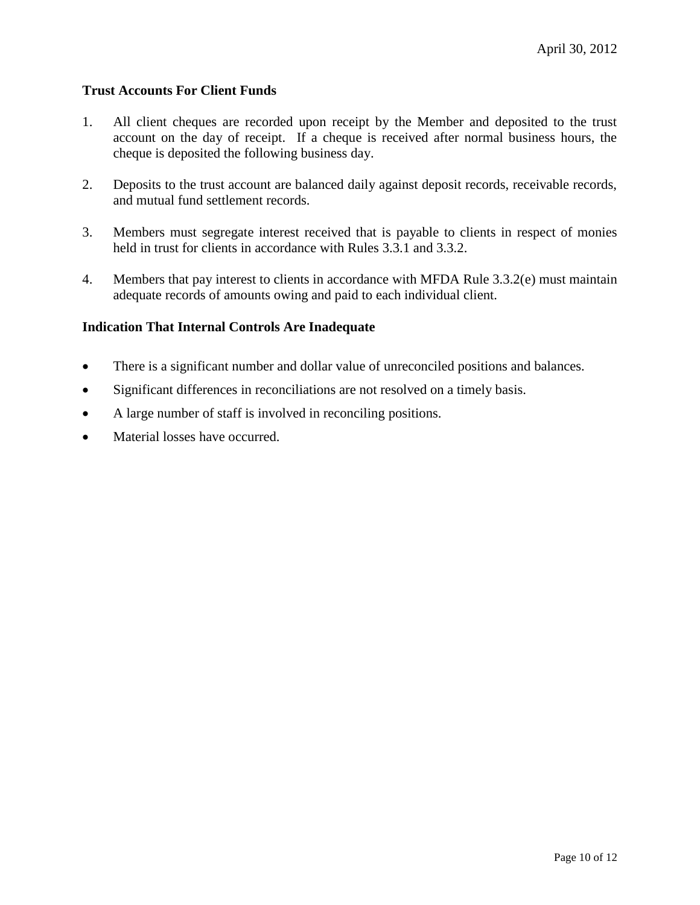#### **Trust Accounts For Client Funds**

- 1. All client cheques are recorded upon receipt by the Member and deposited to the trust account on the day of receipt. If a cheque is received after normal business hours, the cheque is deposited the following business day.
- 2. Deposits to the trust account are balanced daily against deposit records, receivable records, and mutual fund settlement records.
- 3. Members must segregate interest received that is payable to clients in respect of monies held in trust for clients in accordance with Rules 3.3.1 and 3.3.2.
- 4. Members that pay interest to clients in accordance with MFDA Rule 3.3.2(e) must maintain adequate records of amounts owing and paid to each individual client.

#### **Indication That Internal Controls Are Inadequate**

- There is a significant number and dollar value of unreconciled positions and balances.
- Significant differences in reconciliations are not resolved on a timely basis.
- A large number of staff is involved in reconciling positions.
- Material losses have occurred.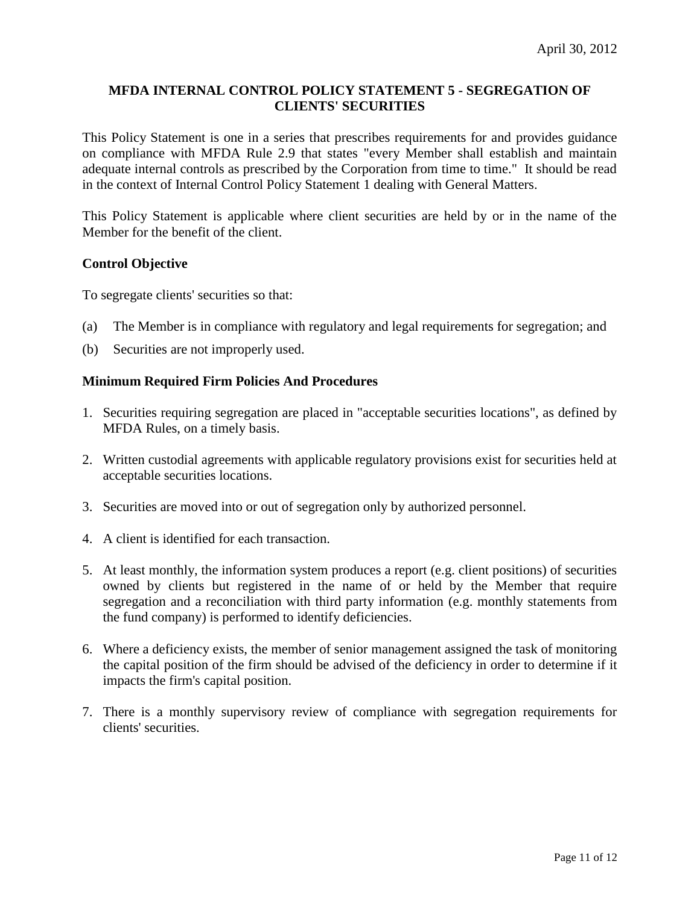#### **MFDA INTERNAL CONTROL POLICY STATEMENT 5 - SEGREGATION OF CLIENTS' SECURITIES**

This Policy Statement is one in a series that prescribes requirements for and provides guidance on compliance with MFDA Rule 2.9 that states "every Member shall establish and maintain adequate internal controls as prescribed by the Corporation from time to time." It should be read in the context of Internal Control Policy Statement 1 dealing with General Matters.

This Policy Statement is applicable where client securities are held by or in the name of the Member for the benefit of the client.

#### **Control Objective**

To segregate clients' securities so that:

- (a) The Member is in compliance with regulatory and legal requirements for segregation; and
- (b) Securities are not improperly used.

#### **Minimum Required Firm Policies And Procedures**

- 1. Securities requiring segregation are placed in "acceptable securities locations", as defined by MFDA Rules, on a timely basis.
- 2. Written custodial agreements with applicable regulatory provisions exist for securities held at acceptable securities locations.
- 3. Securities are moved into or out of segregation only by authorized personnel.
- 4. A client is identified for each transaction.
- 5. At least monthly, the information system produces a report (e.g. client positions) of securities owned by clients but registered in the name of or held by the Member that require segregation and a reconciliation with third party information (e.g. monthly statements from the fund company) is performed to identify deficiencies.
- 6. Where a deficiency exists, the member of senior management assigned the task of monitoring the capital position of the firm should be advised of the deficiency in order to determine if it impacts the firm's capital position.
- 7. There is a monthly supervisory review of compliance with segregation requirements for clients' securities.